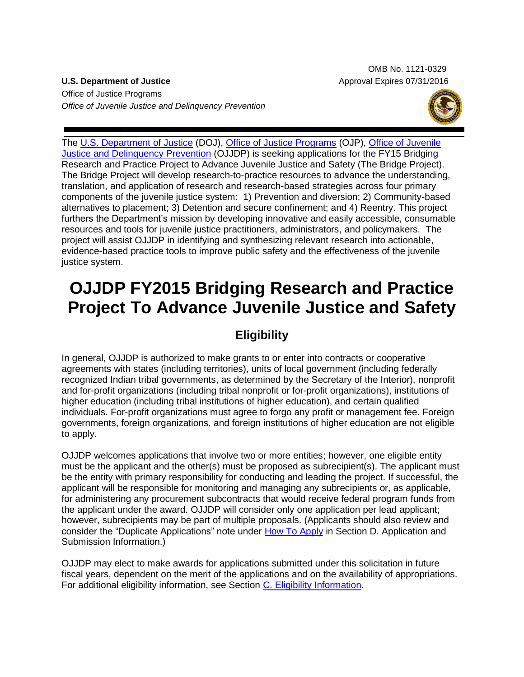OMB No. 1121-0329 **U.S. Department of Justice** Approval Expires 07/31/2016

Office of Justice Programs *Office of Juvenile Justice and Delinquency Prevention*



The [U.S. Department of Justice](http://www.usdoj.gov/) (DOJ), [Office of Justice Programs](http://www.ojp.usdoj.gov/) (OJP), [Office of Juvenile](http://www.ojjdp.gov/)  [Justice and Delinquency Prevention](http://www.ojjdp.gov/) (OJJDP) is seeking applications for the FY15 Bridging Research and Practice Project to Advance Juvenile Justice and Safety (The Bridge Project). The Bridge Project will develop research-to-practice resources to advance the understanding, translation, and application of research and research-based strategies across four primary components of the juvenile justice system: 1) Prevention and diversion; 2) Community-based alternatives to placement; 3) Detention and secure confinement; and 4) Reentry. This project furthers the Department's mission by developing innovative and easily accessible, consumable resources and tools for juvenile justice practitioners, administrators, and policymakers. The project will assist OJJDP in identifying and synthesizing relevant research into actionable, evidence-based practice tools to improve public safety and the effectiveness of the juvenile justice system.

# **OJJDP FY2015 Bridging Research and Practice Project To Advance Juvenile Justice and Safety**

# **Eligibility**

In general, OJJDP is authorized to make grants to or enter into contracts or cooperative agreements with states (including territories), units of local government (including federally recognized Indian tribal governments, as determined by the Secretary of the Interior), nonprofit and for-profit organizations (including tribal nonprofit or for-profit organizations), institutions of higher education (including tribal institutions of higher education), and certain qualified individuals. For-profit organizations must agree to forgo any profit or management fee. Foreign governments, foreign organizations, and foreign institutions of higher education are not eligible to apply.

OJJDP welcomes applications that involve two or more entities; however, one eligible entity must be the applicant and the other(s) must be proposed as subrecipient(s). The applicant must be the entity with primary responsibility for conducting and leading the project. If successful, the applicant will be responsible for monitoring and managing any subrecipients or, as applicable, for administering any procurement subcontracts that would receive federal program funds from the applicant under the award. OJJDP will consider only one application per lead applicant; however, subrecipients may be part of multiple proposals. (Applicants should also review and consider the "Duplicate Applications" note under [How To Apply](#page-19-0) in Section D. Application and Submission Information.)

OJJDP may elect to make awards for applications submitted under this solicitation in future fiscal years, dependent on the merit of the applications and on the availability of appropriations. For additional eligibility information, see Section [C. Eligibility Information.](#page-8-0)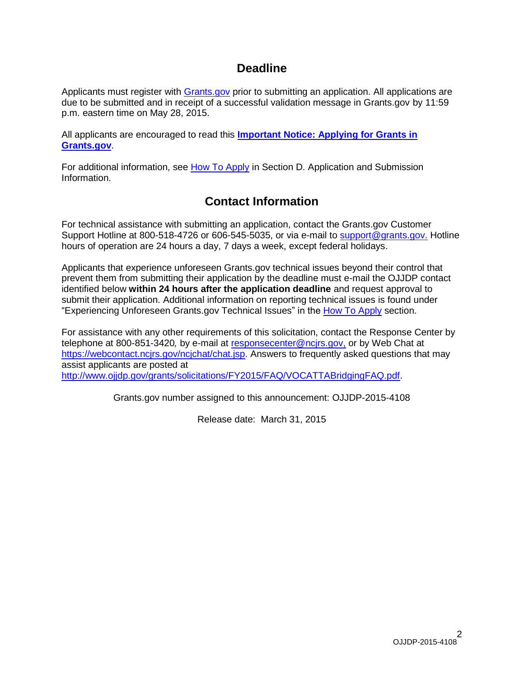# **Deadline**

Applicants must register with [Grants.gov](http://www.grants.gov/applicants/apply_for_grants.jsp) prior to submitting an application. All applications are due to be submitted and in receipt of a successful validation message in Grants.gov by 11:59 p.m. eastern time on May 28, 2015.

All applicants are encouraged to read this **[Important Notice: Applying for Grants in](http://ojp.gov/funding/Apply/Grants-govInfo.htm)  [Grants.gov](http://ojp.gov/funding/Apply/Grants-govInfo.htm)**.

For additional information, see [How To Apply](#page-19-0) in Section D. Application and Submission Information.

# **Contact Information**

For technical assistance with submitting an application, contact the Grants.gov Customer Support Hotline at 800-518-4726 or 606-545-5035, or via e-mail to [support@grants.gov.](mailto:support@grants.gov) Hotline hours of operation are 24 hours a day, 7 days a week, except federal holidays.

Applicants that experience unforeseen Grants.gov technical issues beyond their control that prevent them from submitting their application by the deadline must e-mail the OJJDP contact identified below **within 24 hours after the application deadline** and request approval to submit their application. Additional information on reporting technical issues is found under "Experiencing Unforeseen Grants.gov Technical Issues" in the [How To Apply](#page-19-0) section.

For assistance with any other requirements of this solicitation, contact the Response Center by telephone at 800-851-3420*,* by e-mail at [responsecenter@ncjrs.gov,](mailto:responsecenter@ncjrs.gov) or by Web Chat at [https://webcontact.ncjrs.gov/ncjchat/chat.jsp.](https://webcontact.ncjrs.gov/ncjchat/chat.jsp) Answers to frequently asked questions that may assist applicants are posted at <http://www.ojjdp.gov/grants/solicitations/FY2015/FAQ/VOCATTABridgingFAQ.pdf>.

Grants.gov number assigned to this announcement: OJJDP-2015-4108

Release date: March 31, 2015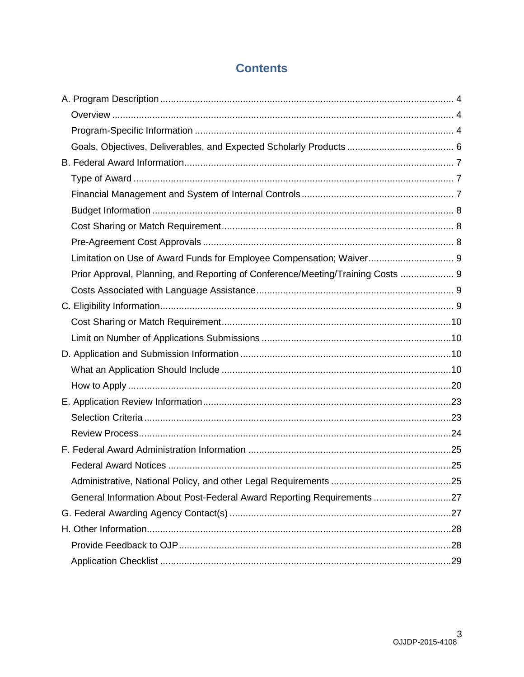# **Contents**

| Limitation on Use of Award Funds for Employee Compensation; Waiver 9            |  |
|---------------------------------------------------------------------------------|--|
| Prior Approval, Planning, and Reporting of Conference/Meeting/Training Costs  9 |  |
|                                                                                 |  |
|                                                                                 |  |
|                                                                                 |  |
|                                                                                 |  |
|                                                                                 |  |
|                                                                                 |  |
|                                                                                 |  |
|                                                                                 |  |
|                                                                                 |  |
|                                                                                 |  |
|                                                                                 |  |
|                                                                                 |  |
|                                                                                 |  |
| General Information About Post-Federal Award Reporting Requirements 27          |  |
|                                                                                 |  |
|                                                                                 |  |
|                                                                                 |  |
|                                                                                 |  |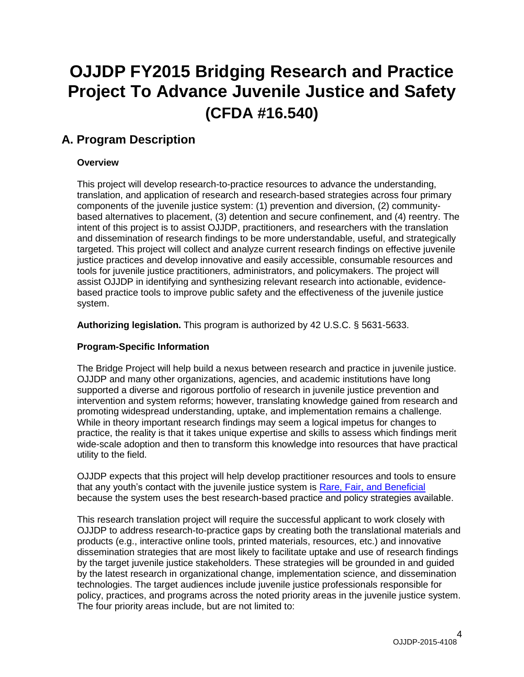# **OJJDP FY2015 Bridging Research and Practice Project To Advance Juvenile Justice and Safety (CFDA #16.540)**

# <span id="page-3-0"></span>**A. Program Description**

# <span id="page-3-1"></span>**Overview**

This project will develop research-to-practice resources to advance the understanding, translation, and application of research and research-based strategies across four primary components of the juvenile justice system: (1) prevention and diversion, (2) communitybased alternatives to placement, (3) detention and secure confinement, and (4) reentry. The intent of this project is to assist OJJDP, practitioners, and researchers with the translation and dissemination of research findings to be more understandable, useful, and strategically targeted. This project will collect and analyze current research findings on effective juvenile justice practices and develop innovative and easily accessible, consumable resources and tools for juvenile justice practitioners, administrators, and policymakers. The project will assist OJJDP in identifying and synthesizing relevant research into actionable, evidencebased practice tools to improve public safety and the effectiveness of the juvenile justice system.

**Authorizing legislation.** This program is authorized by 42 U.S.C. § 5631-5633.

## <span id="page-3-2"></span>**Program-Specific Information**

The Bridge Project will help build a nexus between research and practice in juvenile justice. OJJDP and many other organizations, agencies, and academic institutions have long supported a diverse and rigorous portfolio of research in juvenile justice prevention and intervention and system reforms; however, translating knowledge gained from research and promoting widespread understanding, uptake, and implementation remains a challenge. While in theory important research findings may seem a logical impetus for changes to practice, the reality is that it takes unique expertise and skills to assess which findings merit wide-scale adoption and then to transform this knowledge into resources that have practical utility to the field.

OJJDP expects that this project will help develop practitioner resources and tools to ensure that any youth's contact with the juvenile justice system is Rare, Fair, [and Beneficial](http://www.ojjdp.gov/about/missionstatement.html) because the system uses the best research-based practice and policy strategies available.

This research translation project will require the successful applicant to work closely with OJJDP to address research-to-practice gaps by creating both the translational materials and products (e.g., interactive online tools, printed materials, resources, etc.) and innovative dissemination strategies that are most likely to facilitate uptake and use of research findings by the target juvenile justice stakeholders. These strategies will be grounded in and guided by the latest research in organizational change, implementation science, and dissemination technologies. The target audiences include juvenile justice professionals responsible for policy, practices, and programs across the noted priority areas in the juvenile justice system. The four priority areas include, but are not limited to: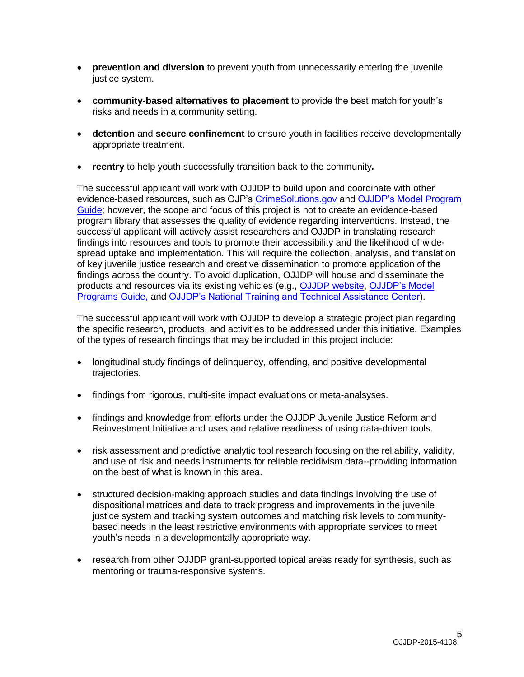- **prevention and diversion** to prevent youth from unnecessarily entering the juvenile justice system.
- **community-based alternatives to placement** to provide the best match for youth's risks and needs in a community setting.
- **detention** and **secure confinement** to ensure youth in facilities receive developmentally appropriate treatment.
- **reentry** to help youth successfully transition back to the community*.*

The successful applicant will work with OJJDP to build upon and coordinate with other evidence-based resources, such as OJP's [CrimeSolutions.gov](http://www.crimesolutions.gov/) and [OJJDP's Model](http://www.ojjdp.gov/mpg/) Program [Guide;](http://www.ojjdp.gov/mpg/) however, the scope and focus of this project is not to create an evidence-based program library that assesses the quality of evidence regarding interventions. Instead, the successful applicant will actively assist researchers and OJJDP in translating research findings into resources and tools to promote their accessibility and the likelihood of widespread uptake and implementation. This will require the collection, analysis, and translation of key juvenile justice research and creative dissemination to promote application of the findings across the country. To avoid duplication, OJJDP will house and disseminate the products and resources via its existing vehicles (e.g., [OJJDP website,](http://www.ojjdp.gov/) [OJJDP's Model](http://www.ojjdp.gov/mpg/)  [Programs Guide,](http://www.ojjdp.gov/mpg/) and [OJJDP's National Training and Technical Assistance Center\)](https://www.nttac.org/).

The successful applicant will work with OJJDP to develop a strategic project plan regarding the specific research, products, and activities to be addressed under this initiative. Examples of the types of research findings that may be included in this project include:

- longitudinal study findings of delinquency, offending, and positive developmental trajectories.
- findings from rigorous, multi-site impact evaluations or meta-analsyses.
- findings and knowledge from efforts under the OJJDP Juvenile Justice Reform and Reinvestment Initiative and uses and relative readiness of using data-driven tools.
- risk assessment and predictive analytic tool research focusing on the reliability, validity, and use of risk and needs instruments for reliable recidivism data--providing information on the best of what is known in this area.
- structured decision-making approach studies and data findings involving the use of dispositional matrices and data to track progress and improvements in the juvenile justice system and tracking system outcomes and matching risk levels to communitybased needs in the least restrictive environments with appropriate services to meet youth's needs in a developmentally appropriate way.
- <span id="page-4-0"></span>• research from other OJJDP grant-supported topical areas ready for synthesis, such as mentoring or trauma-responsive systems.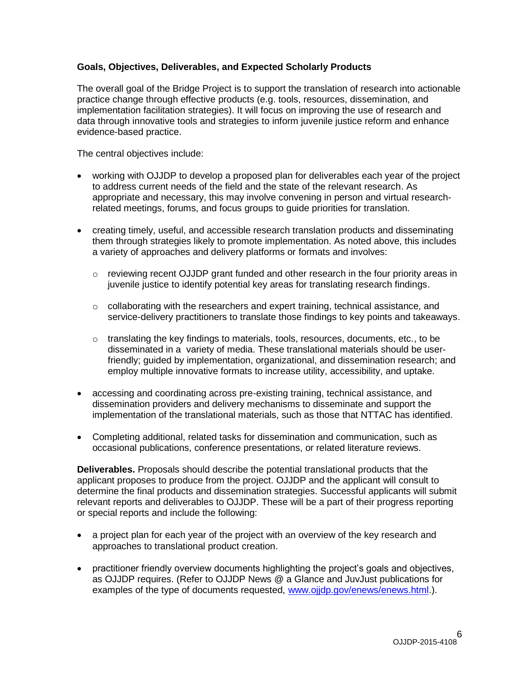## **Goals, Objectives, Deliverables, and Expected Scholarly Products**

The overall goal of the Bridge Project is to support the translation of research into actionable practice change through effective products (e.g. tools, resources, dissemination, and implementation facilitation strategies). It will focus on improving the use of research and data through innovative tools and strategies to inform juvenile justice reform and enhance evidence-based practice.

The central objectives include:

- working with OJJDP to develop a proposed plan for deliverables each year of the project to address current needs of the field and the state of the relevant research. As appropriate and necessary, this may involve convening in person and virtual researchrelated meetings, forums, and focus groups to guide priorities for translation.
- creating timely, useful, and accessible research translation products and disseminating them through strategies likely to promote implementation. As noted above, this includes a variety of approaches and delivery platforms or formats and involves:
	- $\circ$  reviewing recent OJJDP grant funded and other research in the four priority areas in juvenile justice to identify potential key areas for translating research findings.
	- $\circ$  collaborating with the researchers and expert training, technical assistance, and service-delivery practitioners to translate those findings to key points and takeaways.
	- $\circ$  translating the key findings to materials, tools, resources, documents, etc., to be disseminated in a variety of media. These translational materials should be userfriendly; guided by implementation, organizational, and dissemination research; and employ multiple innovative formats to increase utility, accessibility, and uptake.
- accessing and coordinating across pre-existing training, technical assistance, and dissemination providers and delivery mechanisms to disseminate and support the implementation of the translational materials, such as those that NTTAC has identified.
- Completing additional, related tasks for dissemination and communication, such as occasional publications, conference presentations, or related literature reviews.

**Deliverables.** Proposals should describe the potential translational products that the applicant proposes to produce from the project. OJJDP and the applicant will consult to determine the final products and dissemination strategies. Successful applicants will submit relevant reports and deliverables to OJJDP. These will be a part of their progress reporting or special reports and include the following:

- a project plan for each year of the project with an overview of the key research and approaches to translational product creation.
- practitioner friendly overview documents highlighting the project's goals and objectives, as OJJDP requires. (Refer to OJJDP News @ a Glance and JuvJust publications for examples of the type of documents requested, [www.ojjdp.gov/enews/enews.html.](http://www.ojjdp.gov/enews/enews.html)).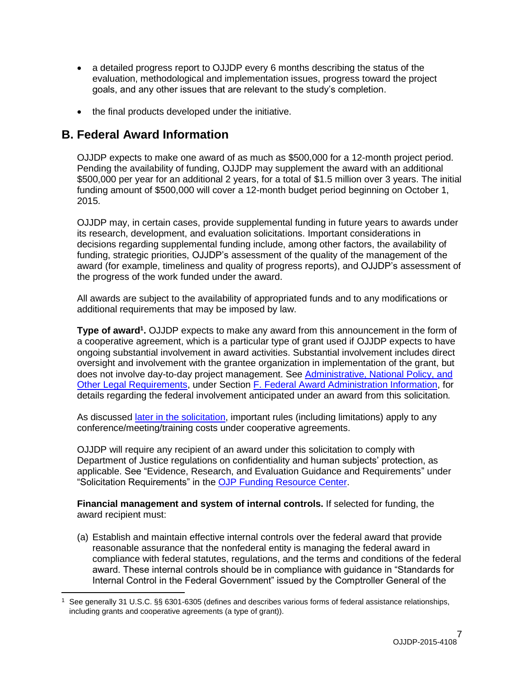- a detailed progress report to OJJDP every 6 months describing the status of the evaluation, methodological and implementation issues, progress toward the project goals, and any other issues that are relevant to the study's completion.
- the final products developed under the initiative.

# <span id="page-6-0"></span>**B. Federal Award Information**

 $\overline{a}$ 

OJJDP expects to make one award of as much as \$500,000 for a 12-month project period. Pending the availability of funding, OJJDP may supplement the award with an additional \$500,000 per year for an additional 2 years, for a total of \$1.5 million over 3 years. The initial funding amount of \$500,000 will cover a 12-month budget period beginning on October 1, 2015.

OJJDP may, in certain cases, provide supplemental funding in future years to awards under its research, development, and evaluation solicitations. Important considerations in decisions regarding supplemental funding include, among other factors, the availability of funding, strategic priorities, OJJDP's assessment of the quality of the management of the award (for example, timeliness and quality of progress reports), and OJJDP's assessment of the progress of the work funded under the award.

All awards are subject to the availability of appropriated funds and to any modifications or additional requirements that may be imposed by law.

<span id="page-6-1"></span>**Type of award<sup>1</sup>.** OJJDP expects to make any award from this announcement in the form of a cooperative agreement, which is a particular type of grant used if OJJDP expects to have ongoing substantial involvement in award activities. Substantial involvement includes direct oversight and involvement with the grantee organization in implementation of the grant, but does not involve day-to-day project management. See Administrative, National Policy, and Other Legal Requirements, under Section F. Federal Award Administration Information, for details regarding the federal involvement anticipated under an award from this solicitation*.* 

As discussed [later in the solicitation,](#page-8-2) important rules (including limitations) apply to any conference/meeting/training costs under cooperative agreements.

OJJDP will require any recipient of an award under this solicitation to comply with Department of Justice regulations on confidentiality and human subjects' protection, as applicable. See "Evidence, Research, and Evaluation Guidance and Requirements" under "Solicitation Requirements" in the [OJP Funding Resource Center.](http://ojp.gov/funding/index.htm)

<span id="page-6-2"></span>**Financial management and system of internal controls.** If selected for funding, the award recipient must:

(a) Establish and maintain effective internal controls over the federal award that provide reasonable assurance that the nonfederal entity is managing the federal award in compliance with federal statutes, regulations, and the terms and conditions of the federal award. These internal controls should be in compliance with guidance in "Standards for Internal Control in the Federal Government" issued by the Comptroller General of the

See generally 31 U.S.C. §§ 6301-6305 (defines and describes various forms of federal assistance relationships, including grants and cooperative agreements (a type of grant)).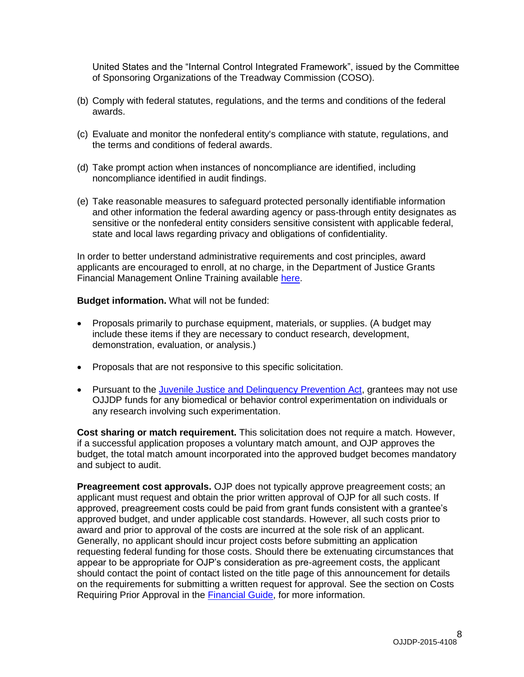United States and the "Internal Control Integrated Framework", issued by the Committee of Sponsoring Organizations of the Treadway Commission (COSO).

- (b) Comply with federal statutes, regulations, and the terms and conditions of the federal awards.
- (c) Evaluate and monitor the nonfederal entity's compliance with statute, regulations, and the terms and conditions of federal awards.
- (d) Take prompt action when instances of noncompliance are identified, including noncompliance identified in audit findings.
- (e) Take reasonable measures to safeguard protected personally identifiable information and other information the federal awarding agency or pass-through entity designates as sensitive or the nonfederal entity considers sensitive consistent with applicable federal, state and local laws regarding privacy and obligations of confidentiality.

In order to better understand administrative requirements and cost principles, award applicants are encouraged to enroll, at no charge, in the Department of Justice Grants Financial Management Online Training available [here.](http://gfm.webfirst.com/)

#### <span id="page-7-0"></span>**Budget information.** What will not be funded:

- Proposals primarily to purchase equipment, materials, or supplies. (A budget may include these items if they are necessary to conduct research, development, demonstration, evaluation, or analysis.)
- Proposals that are not responsive to this specific solicitation.
- Pursuant to the [Juvenile Justice and Delinquency Prevention](http://www.ojjdp.gov/about/jjdpa2002titlev.pdf) Act, grantees may not use OJJDP funds for any biomedical or behavior control experimentation on individuals or any research involving such experimentation.

<span id="page-7-1"></span>**Cost sharing or match requirement.** This solicitation does not require a match. However, if a successful application proposes a voluntary match amount, and OJP approves the budget, the total match amount incorporated into the approved budget becomes mandatory and subject to audit.

<span id="page-7-2"></span>**Preagreement cost approvals.** OJP does not typically approve preagreement costs; an applicant must request and obtain the prior written approval of OJP for all such costs. If approved, preagreement costs could be paid from grant funds consistent with a grantee's approved budget, and under applicable cost standards. However, all such costs prior to award and prior to approval of the costs are incurred at the sole risk of an applicant. Generally, no applicant should incur project costs before submitting an application requesting federal funding for those costs. Should there be extenuating circumstances that appear to be appropriate for OJP's consideration as pre-agreement costs, the applicant should contact the point of contact listed on the title page of this announcement for details on the requirements for submitting a written request for approval. See the section on Costs Requiring Prior Approval in the [Financial Guide,](http://ojp.gov/financialguide/index.htm) for more information.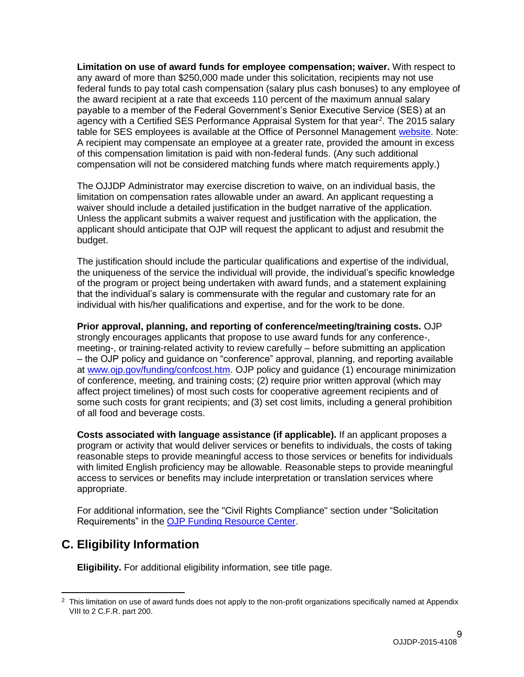<span id="page-8-1"></span>**Limitation on use of award funds for employee compensation; waiver.** With respect to any award of more than \$250,000 made under this solicitation, recipients may not use federal funds to pay total cash compensation (salary plus cash bonuses) to any employee of the award recipient at a rate that exceeds 110 percent of the maximum annual salary payable to a member of the Federal Government's Senior Executive Service (SES) at an agency with a Certified SES Performance Appraisal System for that year<sup>2</sup>. The 2015 salary table for SES employees is available at the Office of Personnel Management [website.](http://www.opm.gov/policy-data-oversight/pay-leave/salaries-wages/salary-tables/15Tables/exec/html/ES.aspx) Note: A recipient may compensate an employee at a greater rate, provided the amount in excess of this compensation limitation is paid with non-federal funds. (Any such additional compensation will not be considered matching funds where match requirements apply.)

The OJJDP Administrator may exercise discretion to waive, on an individual basis, the limitation on compensation rates allowable under an award. An applicant requesting a waiver should include a detailed justification in the budget narrative of the application. Unless the applicant submits a waiver request and justification with the application, the applicant should anticipate that OJP will request the applicant to adjust and resubmit the budget.

The justification should include the particular qualifications and expertise of the individual, the uniqueness of the service the individual will provide, the individual's specific knowledge of the program or project being undertaken with award funds, and a statement explaining that the individual's salary is commensurate with the regular and customary rate for an individual with his/her qualifications and expertise, and for the work to be done.

<span id="page-8-2"></span>**Prior approval, planning, and reporting of conference/meeting/training costs.** OJP strongly encourages applicants that propose to use award funds for any conference-, meeting-, or training-related activity to review carefully – before submitting an application – the OJP policy and guidance on "conference" approval, planning, and reporting available at [www.ojp.gov/funding/confcost.htm.](http://www.ojp.gov/funding/confcost.htm) OJP policy and guidance (1) encourage minimization of conference, meeting, and training costs; (2) require prior written approval (which may affect project timelines) of most such costs for cooperative agreement recipients and of some such costs for grant recipients; and (3) set cost limits, including a general prohibition of all food and beverage costs.

<span id="page-8-3"></span>**Costs associated with language assistance (if applicable).** If an applicant proposes a program or activity that would deliver services or benefits to individuals, the costs of taking reasonable steps to provide meaningful access to those services or benefits for individuals with limited English proficiency may be allowable. Reasonable steps to provide meaningful access to services or benefits may include interpretation or translation services where appropriate.

For additional information, see the "Civil Rights Compliance" section under "Solicitation Requirements" in the [OJP Funding Resource Center.](http://ojp.gov/funding/index.htm)

# <span id="page-8-0"></span>**C. Eligibility Information**

<span id="page-8-4"></span> $\overline{a}$ 

**Eligibility.** For additional eligibility information, see title page.

<sup>&</sup>lt;sup>2</sup> This limitation on use of award funds does not apply to the non-profit organizations specifically named at Appendix VIII to 2 C.F.R. part 200.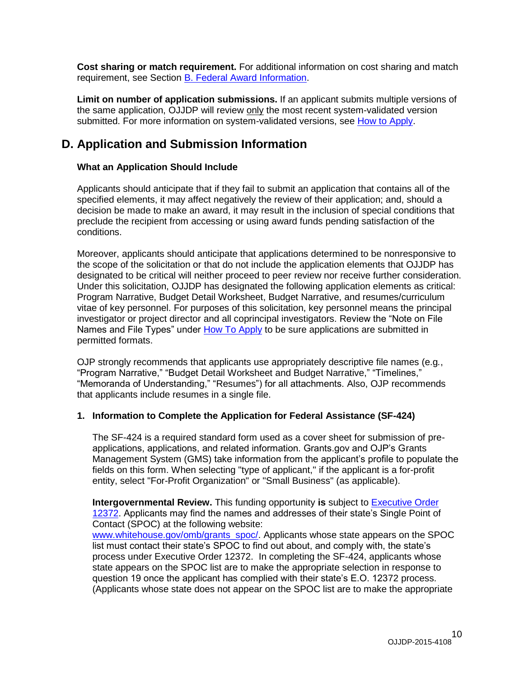**Cost sharing or match requirement.** For additional information on cost sharing and match requirement, see Section [B. Federal Award Information.](#page-6-0)

<span id="page-9-0"></span>**Limit on number of application submissions.** If an applicant submits multiple versions of the same application, OJJDP will review only the most recent system-validated version submitted. For more information on system-validated versions, see [How to Apply.](#page-19-0)

# <span id="page-9-1"></span>**D. Application and Submission Information**

## <span id="page-9-2"></span>**What an Application Should Include**

Applicants should anticipate that if they fail to submit an application that contains all of the specified elements, it may affect negatively the review of their application; and, should a decision be made to make an award, it may result in the inclusion of special conditions that preclude the recipient from accessing or using award funds pending satisfaction of the conditions.

Moreover, applicants should anticipate that applications determined to be nonresponsive to the scope of the solicitation or that do not include the application elements that OJJDP has designated to be critical will neither proceed to peer review nor receive further consideration. Under this solicitation, OJJDP has designated the following application elements as critical: Program Narrative, Budget Detail Worksheet, Budget Narrative, and resumes/curriculum vitae of key personnel. For purposes of this solicitation, key personnel means the principal investigator or project director and all coprincipal investigators. Review the "Note on File Names and File Types" under [How To Apply](#page-19-0) to be sure applications are submitted in permitted formats.

OJP strongly recommends that applicants use appropriately descriptive file names (e.g*.*, "Program Narrative," "Budget Detail Worksheet and Budget Narrative," "Timelines," "Memoranda of Understanding," "Resumes") for all attachments. Also, OJP recommends that applicants include resumes in a single file.

### **1. Information to Complete the Application for Federal Assistance (SF-424)**

The SF-424 is a required standard form used as a cover sheet for submission of preapplications, applications, and related information. Grants.gov and OJP's Grants Management System (GMS) take information from the applicant's profile to populate the fields on this form. When selecting "type of applicant," if the applicant is a for-profit entity, select "For-Profit Organization" or "Small Business" (as applicable).

**Intergovernmental Review.** This funding opportunity **is** subject to [Executive Order](http://www.archives.gov/federal-register/codification/executive-order/12372.html)  [12372.](http://www.archives.gov/federal-register/codification/executive-order/12372.html) Applicants may find the names and addresses of their state's Single Point of Contact (SPOC) at the following website:

[www.whitehouse.gov/omb/grants\\_spoc/.](http://www.whitehouse.gov/omb/grants_spoc/) Applicants whose state appears on the SPOC list must contact their state's SPOC to find out about, and comply with, the state's process under Executive Order 12372. In completing the SF-424, applicants whose state appears on the SPOC list are to make the appropriate selection in response to question 19 once the applicant has complied with their state's E.O. 12372 process. (Applicants whose state does not appear on the SPOC list are to make the appropriate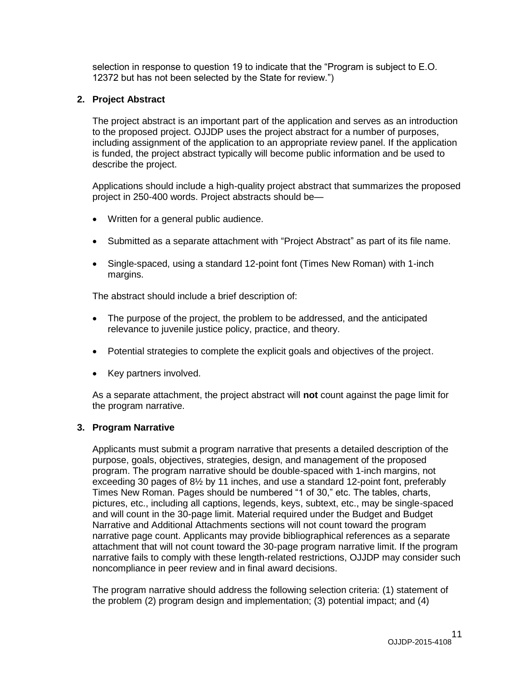selection in response to question 19 to indicate that the "Program is subject to E.O. 12372 but has not been selected by the State for review.")

### **2. Project Abstract**

The project abstract is an important part of the application and serves as an introduction to the proposed project. OJJDP uses the project abstract for a number of purposes, including assignment of the application to an appropriate review panel. If the application is funded, the project abstract typically will become public information and be used to describe the project.

Applications should include a high-quality project abstract that summarizes the proposed project in 250-400 words. Project abstracts should be—

- Written for a general public audience.
- Submitted as a separate attachment with "Project Abstract" as part of its file name.
- Single-spaced, using a standard 12-point font (Times New Roman) with 1-inch margins.

The abstract should include a brief description of:

- The purpose of the project, the problem to be addressed, and the anticipated relevance to juvenile justice policy, practice, and theory.
- Potential strategies to complete the explicit goals and objectives of the project.
- Key partners involved.

As a separate attachment, the project abstract will **not** count against the page limit for the program narrative.

#### **3. Program Narrative**

Applicants must submit a program narrative that presents a detailed description of the purpose, goals, objectives, strategies, design, and management of the proposed program. The program narrative should be double-spaced with 1-inch margins, not exceeding 30 pages of 8½ by 11 inches, and use a standard 12-point font, preferably Times New Roman. Pages should be numbered "1 of 30," etc. The tables, charts, pictures, etc., including all captions, legends, keys, subtext, etc., may be single-spaced and will count in the 30-page limit. Material required under the Budget and Budget Narrative and Additional Attachments sections will not count toward the program narrative page count. Applicants may provide bibliographical references as a separate attachment that will not count toward the 30-page program narrative limit. If the program narrative fails to comply with these length-related restrictions, OJJDP may consider such noncompliance in peer review and in final award decisions.

The program narrative should address the following selection criteria: (1) statement of the problem (2) program design and implementation; (3) potential impact; and (4)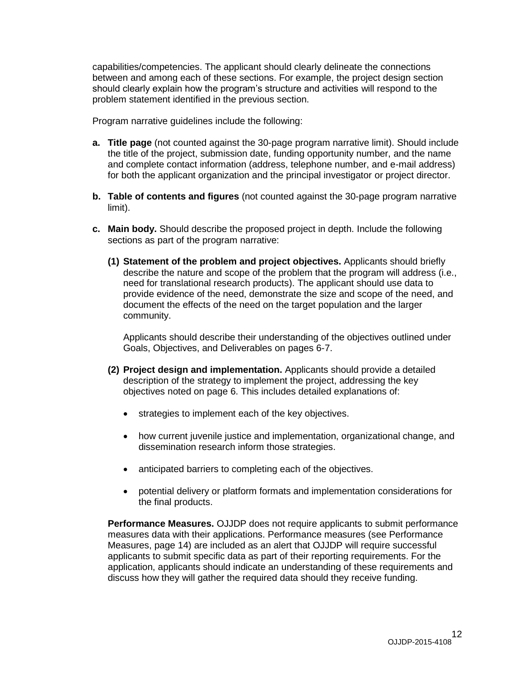capabilities/competencies. The applicant should clearly delineate the connections between and among each of these sections. For example, the project design section should clearly explain how the program's structure and activities will respond to the problem statement identified in the previous section.

Program narrative guidelines include the following:

- **a. Title page** (not counted against the 30-page program narrative limit). Should include the title of the project, submission date, funding opportunity number, and the name and complete contact information (address, telephone number, and e-mail address) for both the applicant organization and the principal investigator or project director.
- **b. Table of contents and figures** (not counted against the 30-page program narrative limit).
- **c. Main body.** Should describe the proposed project in depth. Include the following sections as part of the program narrative:
	- **(1) Statement of the problem and project objectives.** Applicants should briefly describe the nature and scope of the problem that the program will address (i.e., need for translational research products). The applicant should use data to provide evidence of the need, demonstrate the size and scope of the need, and document the effects of the need on the target population and the larger community.

Applicants should describe their understanding of the objectives outlined under Goals, Objectives, and Deliverables on pages 6-7.

- **(2) Project design and implementation.** Applicants should provide a detailed description of the strategy to implement the project, addressing the key objectives noted on page 6. This includes detailed explanations of:
	- **strategies to implement each of the key objectives.**
	- how current juvenile justice and implementation, organizational change, and dissemination research inform those strategies.
	- anticipated barriers to completing each of the objectives.
	- potential delivery or platform formats and implementation considerations for the final products.

**Performance Measures.** OJJDP does not require applicants to submit performance measures data with their applications. Performance measures (see Performance Measures, page 14) are included as an alert that OJJDP will require successful applicants to submit specific data as part of their reporting requirements. For the application, applicants should indicate an understanding of these requirements and discuss how they will gather the required data should they receive funding.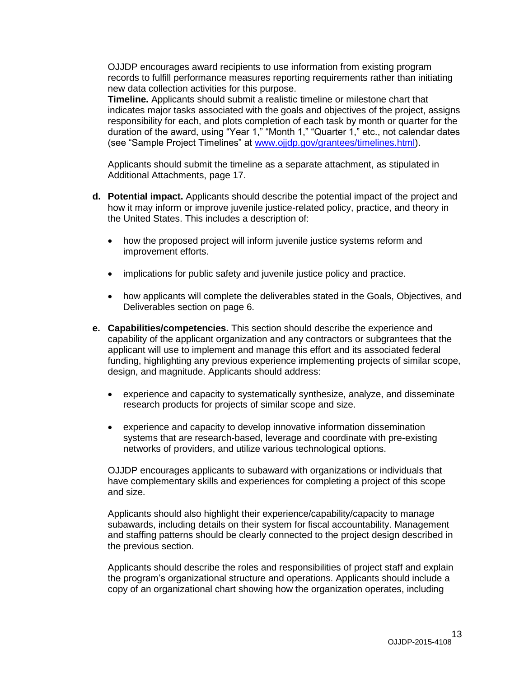OJJDP encourages award recipients to use information from existing program records to fulfill performance measures reporting requirements rather than initiating new data collection activities for this purpose.

**Timeline.** Applicants should submit a realistic timeline or milestone chart that indicates major tasks associated with the goals and objectives of the project, assigns responsibility for each, and plots completion of each task by month or quarter for the duration of the award, using "Year 1," "Month 1," "Quarter 1," etc., not calendar dates (see "Sample Project Timelines" at [www.ojjdp.gov/grantees/timelines.html\)](http://www.ojjdp.gov/grantees/timelines.html).

Applicants should submit the timeline as a separate attachment, as stipulated in Additional Attachments, page 17.

- **d. Potential impact.** Applicants should describe the potential impact of the project and how it may inform or improve juvenile justice-related policy, practice, and theory in the United States. This includes a description of:
	- how the proposed project will inform juvenile justice systems reform and improvement efforts.
	- implications for public safety and juvenile justice policy and practice.
	- how applicants will complete the deliverables stated in the Goals, Objectives, and Deliverables section on page 6.
- **e. Capabilities/competencies.** This section should describe the experience and capability of the applicant organization and any contractors or subgrantees that the applicant will use to implement and manage this effort and its associated federal funding, highlighting any previous experience implementing projects of similar scope, design, and magnitude. Applicants should address:
	- experience and capacity to systematically synthesize, analyze, and disseminate research products for projects of similar scope and size.
	- experience and capacity to develop innovative information dissemination systems that are research-based, leverage and coordinate with pre-existing networks of providers, and utilize various technological options.

OJJDP encourages applicants to subaward with organizations or individuals that have complementary skills and experiences for completing a project of this scope and size.

Applicants should also highlight their experience/capability/capacity to manage subawards, including details on their system for fiscal accountability. Management and staffing patterns should be clearly connected to the project design described in the previous section.

Applicants should describe the roles and responsibilities of project staff and explain the program's organizational structure and operations. Applicants should include a copy of an organizational chart showing how the organization operates, including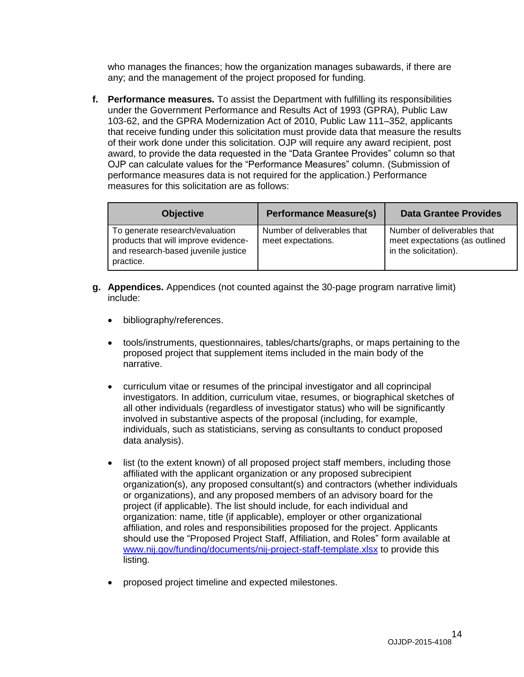who manages the finances; how the organization manages subawards, if there are any; and the management of the project proposed for funding.

**f. Performance measures.** To assist the Department with fulfilling its responsibilities under the Government Performance and Results Act of 1993 (GPRA), Public Law 103-62, and the GPRA Modernization Act of 2010, Public Law 111–352, applicants that receive funding under this solicitation must provide data that measure the results of their work done under this solicitation. OJP will require any award recipient, post award, to provide the data requested in the "Data Grantee Provides" column so that OJP can calculate values for the "Performance Measures" column. (Submission of performance measures data is not required for the application.) Performance measures for this solicitation are as follows:

| <b>Objective</b>                                                                                                            | <b>Performance Measure(s)</b>                     | <b>Data Grantee Provides</b>                                                           |
|-----------------------------------------------------------------------------------------------------------------------------|---------------------------------------------------|----------------------------------------------------------------------------------------|
| To generate research/evaluation<br>products that will improve evidence-<br>and research-based juvenile justice<br>practice. | Number of deliverables that<br>meet expectations. | Number of deliverables that<br>meet expectations (as outlined<br>in the solicitation). |

- **g. Appendices.** Appendices (not counted against the 30-page program narrative limit) include:
	- bibliography/references.
	- tools/instruments, questionnaires, tables/charts/graphs, or maps pertaining to the proposed project that supplement items included in the main body of the narrative.
	- curriculum vitae or resumes of the principal investigator and all coprincipal investigators. In addition, curriculum vitae, resumes, or biographical sketches of all other individuals (regardless of investigator status) who will be significantly involved in substantive aspects of the proposal (including, for example, individuals, such as statisticians, serving as consultants to conduct proposed data analysis).
	- list (to the extent known) of all proposed project staff members, including those affiliated with the applicant organization or any proposed subrecipient organization(s), any proposed consultant(s) and contractors (whether individuals or organizations), and any proposed members of an advisory board for the project (if applicable). The list should include, for each individual and organization: name, title (if applicable), employer or other organizational affiliation, and roles and responsibilities proposed for the project. Applicants should use the "Proposed Project Staff, Affiliation, and Roles" form available at [www.nij.gov/funding/documents/nij-project-staff-template.xlsx](http://www.nij.gov/funding/documents/nij-project-staff-template.xlsx) to provide this listing.
	- proposed project timeline and expected milestones.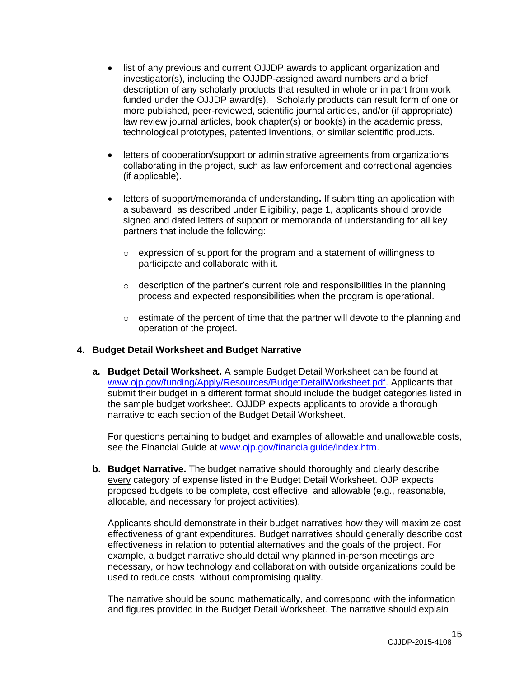- list of any previous and current OJJDP awards to applicant organization and investigator(s), including the OJJDP-assigned award numbers and a brief description of any scholarly products that resulted in whole or in part from work funded under the OJJDP award(s). Scholarly products can result form of one or more published, peer-reviewed, scientific journal articles, and/or (if appropriate) law review journal articles, book chapter(s) or book(s) in the academic press, technological prototypes, patented inventions, or similar scientific products.
- letters of cooperation/support or administrative agreements from organizations collaborating in the project, such as law enforcement and correctional agencies (if applicable).
- letters of support/memoranda of understanding**.** If submitting an application with a subaward, as described under Eligibility, page 1, applicants should provide signed and dated letters of support or memoranda of understanding for all key partners that include the following:
	- $\circ$  expression of support for the program and a statement of willingness to participate and collaborate with it.
	- $\circ$  description of the partner's current role and responsibilities in the planning process and expected responsibilities when the program is operational.
	- $\circ$  estimate of the percent of time that the partner will devote to the planning and operation of the project.

### **4. Budget Detail Worksheet and Budget Narrative**

**a. Budget Detail Worksheet.** A sample Budget Detail Worksheet can be found at [www.ojp.gov/funding/Apply/Resources/BudgetDetailWorksheet.pdf.](http://ojp.gov/funding/Apply/Resources/BudgetDetailWorksheet.pdf) Applicants that submit their budget in a different format should include the budget categories listed in the sample budget worksheet. OJJDP expects applicants to provide a thorough narrative to each section of the Budget Detail Worksheet.

For questions pertaining to budget and examples of allowable and unallowable costs, see the Financial Guide at [www.ojp.gov/financialguide/index.htm.](http://www.ojp.gov/financialguide/index.htm)

**b. Budget Narrative.** The budget narrative should thoroughly and clearly describe every category of expense listed in the Budget Detail Worksheet. OJP expects proposed budgets to be complete, cost effective, and allowable (e.g., reasonable, allocable, and necessary for project activities).

Applicants should demonstrate in their budget narratives how they will maximize cost effectiveness of grant expenditures. Budget narratives should generally describe cost effectiveness in relation to potential alternatives and the goals of the project. For example, a budget narrative should detail why planned in-person meetings are necessary, or how technology and collaboration with outside organizations could be used to reduce costs, without compromising quality.

The narrative should be sound mathematically, and correspond with the information and figures provided in the Budget Detail Worksheet. The narrative should explain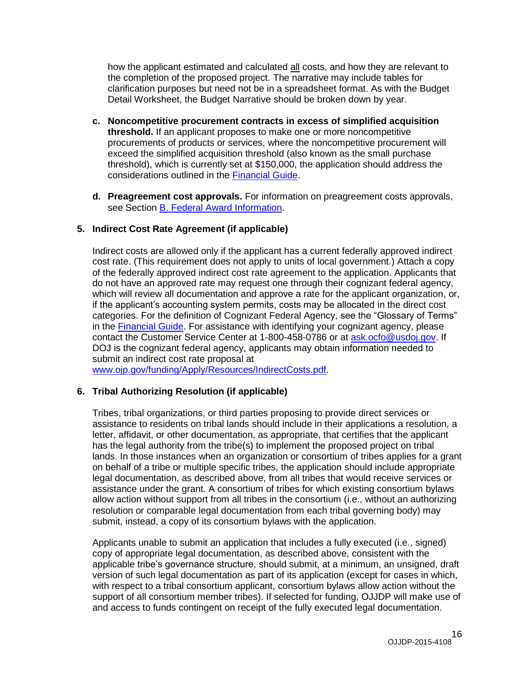how the applicant estimated and calculated all costs, and how they are relevant to the completion of the proposed project. The narrative may include tables for clarification purposes but need not be in a spreadsheet format. As with the Budget Detail Worksheet, the Budget Narrative should be broken down by year.

- **c. Noncompetitive procurement contracts in excess of simplified acquisition threshold.** If an applicant proposes to make one or more noncompetitive procurements of products or services, where the noncompetitive procurement will exceed the simplified acquisition threshold (also known as the small purchase threshold), which is currently set at \$150,000, the application should address the considerations outlined in the [Financial Guide.](http://ojp.gov/financialguide/index.htm)
- **d. Preagreement cost approvals.** For information on preagreement costs approvals, see Section [B. Federal Award Information.](#page-6-0)

## **5. Indirect Cost Rate Agreement (if applicable)**

Indirect costs are allowed only if the applicant has a current federally approved indirect cost rate. (This requirement does not apply to units of local government.) Attach a copy of the federally approved indirect cost rate agreement to the application. Applicants that do not have an approved rate may request one through their cognizant federal agency, which will review all documentation and approve a rate for the applicant organization, or, if the applicant's accounting system permits, costs may be allocated in the direct cost categories. For the definition of Cognizant Federal Agency, see the "Glossary of Terms" in the [Financial Guide.](http://ojp.gov/financialguide/index.htm) For assistance with identifying your cognizant agency, please contact the Customer Service Center at 1-800-458-0786 or at [ask.ocfo@usdoj.gov.](mailto:ask.ocfo@usdoj.gov) If DOJ is the cognizant federal agency, applicants may obtain information needed to submit an indirect cost rate proposal at

[www.ojp.gov/funding/Apply/Resources/IndirectCosts.pdf.](http://www.ojp.gov/funding/Apply/Resources/IndirectCosts.pdf)

### **6. Tribal Authorizing Resolution (if applicable)**

Tribes, tribal organizations, or third parties proposing to provide direct services or assistance to residents on tribal lands should include in their applications a resolution, a letter, affidavit, or other documentation, as appropriate, that certifies that the applicant has the legal authority from the tribe(s) to implement the proposed project on tribal lands. In those instances when an organization or consortium of tribes applies for a grant on behalf of a tribe or multiple specific tribes, the application should include appropriate legal documentation, as described above, from all tribes that would receive services or assistance under the grant. A consortium of tribes for which existing consortium bylaws allow action without support from all tribes in the consortium (i.e., without an authorizing resolution or comparable legal documentation from each tribal governing body) may submit, instead, a copy of its consortium bylaws with the application.

Applicants unable to submit an application that includes a fully executed (i.e., signed) copy of appropriate legal documentation, as described above, consistent with the applicable tribe's governance structure, should submit, at a minimum, an unsigned, draft version of such legal documentation as part of its application (except for cases in which, with respect to a tribal consortium applicant, consortium bylaws allow action without the support of all consortium member tribes). If selected for funding, OJJDP will make use of and access to funds contingent on receipt of the fully executed legal documentation.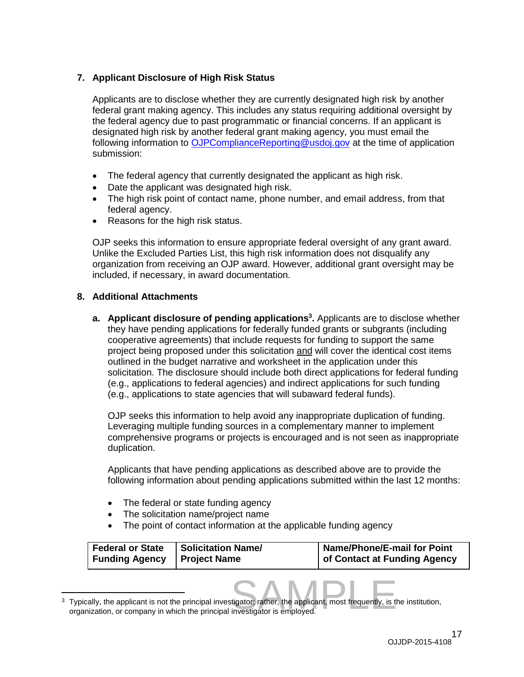# **7. Applicant Disclosure of High Risk Status**

Applicants are to disclose whether they are currently designated high risk by another federal grant making agency. This includes any status requiring additional oversight by the federal agency due to past programmatic or financial concerns. If an applicant is designated high risk by another federal grant making agency, you must email the following information to [OJPComplianceReporting@usdoj.gov](mailto:OJPComplianceReporting@usdoj.gov) at the time of application submission:

- The federal agency that currently designated the applicant as high risk.
- Date the applicant was designated high risk.
- The high risk point of contact name, phone number, and email address, from that federal agency.
- Reasons for the high risk status.

OJP seeks this information to ensure appropriate federal oversight of any grant award. Unlike the Excluded Parties List, this high risk information does not disqualify any organization from receiving an OJP award. However, additional grant oversight may be included, if necessary, in award documentation.

## **8. Additional Attachments**

**a.** Applicant disclosure of pending applications<sup>3</sup>. Applicants are to disclose whether they have pending applications for federally funded grants or subgrants (including cooperative agreements) that include requests for funding to support the same project being proposed under this solicitation and will cover the identical cost items outlined in the budget narrative and worksheet in the application under this solicitation. The disclosure should include both direct applications for federal funding (e.g., applications to federal agencies) and indirect applications for such funding (e.g., applications to state agencies that will subaward federal funds).

OJP seeks this information to help avoid any inappropriate duplication of funding. Leveraging multiple funding sources in a complementary manner to implement comprehensive programs or projects is encouraged and is not seen as inappropriate duplication.

Applicants that have pending applications as described above are to provide the following information about pending applications submitted within the last 12 months:

- The federal or state funding agency
- The solicitation name/project name
- The point of contact information at the applicable funding agency

| Federal or State   Solicitation Name/<br>Name/Phone/E-mail for Point<br>of Contact at Funding Agency<br>Funding Agency   Project Name |
|---------------------------------------------------------------------------------------------------------------------------------------|
|---------------------------------------------------------------------------------------------------------------------------------------|

tigator; rather, the applicant, most frequently, is the<br>investigator is employed.  $\overline{a}$  $3$  Typically, the applicant is not the principal investigator; rather, the applicant, most frequently, is the institution, organization, or company in which the principal investigator is employed.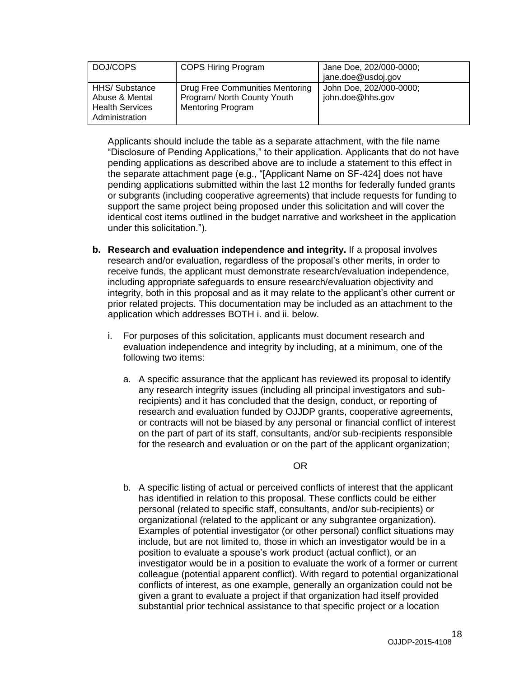| DOJ/COPS                                                                    | <b>COPS Hiring Program</b>                                                                 | Jane Doe, 202/000-0000;<br>jane.doe@usdoj.gov |
|-----------------------------------------------------------------------------|--------------------------------------------------------------------------------------------|-----------------------------------------------|
| HHS/Substance<br>Abuse & Mental<br><b>Health Services</b><br>Administration | Drug Free Communities Mentoring<br>Program/ North County Youth<br><b>Mentoring Program</b> | John Doe, 202/000-0000;<br>john.doe@hhs.gov   |

Applicants should include the table as a separate attachment, with the file name "Disclosure of Pending Applications," to their application. Applicants that do not have pending applications as described above are to include a statement to this effect in the separate attachment page (e.g., "[Applicant Name on SF-424] does not have pending applications submitted within the last 12 months for federally funded grants or subgrants (including cooperative agreements) that include requests for funding to support the same project being proposed under this solicitation and will cover the identical cost items outlined in the budget narrative and worksheet in the application under this solicitation.").

- **b. Research and evaluation independence and integrity.** If a proposal involves research and/or evaluation, regardless of the proposal's other merits, in order to receive funds, the applicant must demonstrate research/evaluation independence, including appropriate safeguards to ensure research/evaluation objectivity and integrity, both in this proposal and as it may relate to the applicant's other current or prior related projects. This documentation may be included as an attachment to the application which addresses BOTH i. and ii. below.
	- i. For purposes of this solicitation, applicants must document research and evaluation independence and integrity by including, at a minimum, one of the following two items:
		- a. A specific assurance that the applicant has reviewed its proposal to identify any research integrity issues (including all principal investigators and subrecipients) and it has concluded that the design, conduct, or reporting of research and evaluation funded by OJJDP grants, cooperative agreements, or contracts will not be biased by any personal or financial conflict of interest on the part of part of its staff, consultants, and/or sub-recipients responsible for the research and evaluation or on the part of the applicant organization;

OR

b. A specific listing of actual or perceived conflicts of interest that the applicant has identified in relation to this proposal. These conflicts could be either personal (related to specific staff, consultants, and/or sub-recipients) or organizational (related to the applicant or any subgrantee organization). Examples of potential investigator (or other personal) conflict situations may include, but are not limited to, those in which an investigator would be in a position to evaluate a spouse's work product (actual conflict), or an investigator would be in a position to evaluate the work of a former or current colleague (potential apparent conflict). With regard to potential organizational conflicts of interest, as one example, generally an organization could not be given a grant to evaluate a project if that organization had itself provided substantial prior technical assistance to that specific project or a location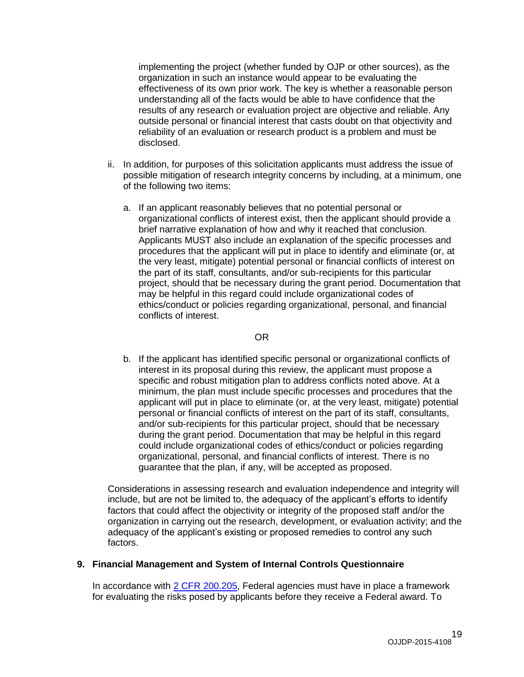implementing the project (whether funded by OJP or other sources), as the organization in such an instance would appear to be evaluating the effectiveness of its own prior work. The key is whether a reasonable person understanding all of the facts would be able to have confidence that the results of any research or evaluation project are objective and reliable. Any outside personal or financial interest that casts doubt on that objectivity and reliability of an evaluation or research product is a problem and must be disclosed.

- ii. In addition, for purposes of this solicitation applicants must address the issue of possible mitigation of research integrity concerns by including, at a minimum, one of the following two items:
	- a. If an applicant reasonably believes that no potential personal or organizational conflicts of interest exist, then the applicant should provide a brief narrative explanation of how and why it reached that conclusion. Applicants MUST also include an explanation of the specific processes and procedures that the applicant will put in place to identify and eliminate (or, at the very least, mitigate) potential personal or financial conflicts of interest on the part of its staff, consultants, and/or sub-recipients for this particular project, should that be necessary during the grant period. Documentation that may be helpful in this regard could include organizational codes of ethics/conduct or policies regarding organizational, personal, and financial conflicts of interest.

#### OR

b. If the applicant has identified specific personal or organizational conflicts of interest in its proposal during this review, the applicant must propose a specific and robust mitigation plan to address conflicts noted above. At a minimum, the plan must include specific processes and procedures that the applicant will put in place to eliminate (or, at the very least, mitigate) potential personal or financial conflicts of interest on the part of its staff, consultants, and/or sub-recipients for this particular project, should that be necessary during the grant period. Documentation that may be helpful in this regard could include organizational codes of ethics/conduct or policies regarding organizational, personal, and financial conflicts of interest. There is no guarantee that the plan, if any, will be accepted as proposed.

Considerations in assessing research and evaluation independence and integrity will include, but are not be limited to, the adequacy of the applicant's efforts to identify factors that could affect the objectivity or integrity of the proposed staff and/or the organization in carrying out the research, development, or evaluation activity; and the adequacy of the applicant's existing or proposed remedies to control any such factors.

### **9. Financial Management and System of Internal Controls Questionnaire**

In accordance with [2 CFR 200.205,](http://www.ecfr.gov/cgi-bin/text-idx?SID=2ebfb13012953333f32ed4cf1411e33e&node=pt2.1.200&rgn=div5#se2.1.200_1205) Federal agencies must have in place a framework for evaluating the risks posed by applicants before they receive a Federal award. To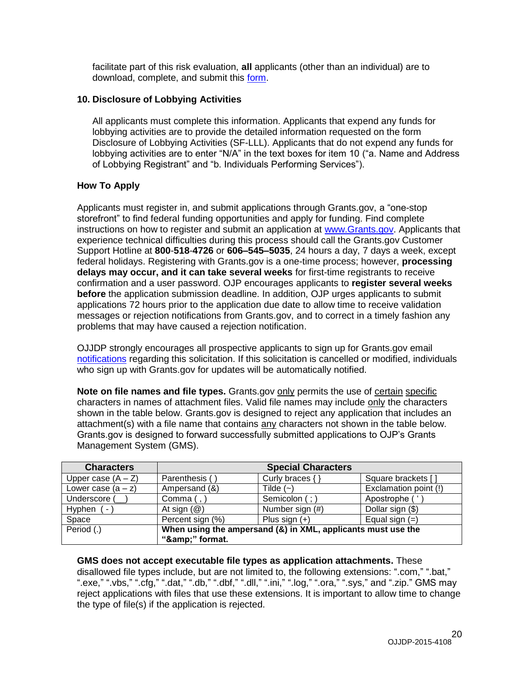facilitate part of this risk evaluation, **all** applicants (other than an individual) are to download, complete, and submit this [form.](http://ojp.gov/funding/Apply/Resources/FinancialCapability.pdf)

## **10. Disclosure of Lobbying Activities**

All applicants must complete this information. Applicants that expend any funds for lobbying activities are to provide the detailed information requested on the form Disclosure of Lobbying Activities (SF-LLL). Applicants that do not expend any funds for lobbying activities are to enter "N/A" in the text boxes for item 10 ("a. Name and Address of Lobbying Registrant" and "b. Individuals Performing Services").

## <span id="page-19-0"></span>**How To Apply**

Applicants must register in, and submit applications through Grants.gov, a "one-stop storefront" to find federal funding opportunities and apply for funding. Find complete instructions on how to register and submit an application at [www.Grants.gov.](http://www.grants.gov/) Applicants that experience technical difficulties during this process should call the Grants.gov Customer Support Hotline at **800**-**518**-**4726** or **606–545–5035**, 24 hours a day, 7 days a week, except federal holidays. Registering with Grants.gov is a one-time process; however, **processing delays may occur, and it can take several weeks** for first-time registrants to receive confirmation and a user password. OJP encourages applicants to **register several weeks before** the application submission deadline. In addition, OJP urges applicants to submit applications 72 hours prior to the application due date to allow time to receive validation messages or rejection notifications from Grants.gov, and to correct in a timely fashion any problems that may have caused a rejection notification.

OJJDP strongly encourages all prospective applicants to sign up for Grants.gov email [notifications](http://www.grants.gov/web/grants/manage-subscriptions.html) regarding this solicitation. If this solicitation is cancelled or modified, individuals who sign up with Grants.gov for updates will be automatically notified.

**Note on file names and file types.** Grants.gov only permits the use of certain specific characters in names of attachment files. Valid file names may include only the characters shown in the table below. Grants.gov is designed to reject any application that includes an attachment(s) with a file name that contains any characters not shown in the table below. Grants.gov is designed to forward successfully submitted applications to OJP's Grants Management System (GMS).

| <b>Characters</b>                                                          |                         | <b>Special Characters</b> |                       |
|----------------------------------------------------------------------------|-------------------------|---------------------------|-----------------------|
| Upper case $(A - Z)$                                                       | Parenthesis ()          | Curly braces { }          | Square brackets []    |
| Lower case $(a - z)$                                                       | Ampersand (&)           | Tilde $(-)$               | Exclamation point (!) |
| Underscore (                                                               | Comma $($ , $)$         | Semicolon (; )            | Apostrophe ('         |
| Hyphen<br>$\sim$                                                           | At sign $(\mathcal{Q})$ | Number sign (#)           | Dollar sign (\$)      |
| Space                                                                      | Percent sign (%)        | Plus sign $(+)$           | Equal sign $(=)$      |
| Period (.)<br>When using the ampersand (&) in XML, applicants must use the |                         |                           |                       |
|                                                                            | "&" format.             |                           |                       |

### **GMS does not accept executable file types as application attachments.** These

disallowed file types include, but are not limited to, the following extensions: ".com," ".bat," ".exe," ".vbs," ".cfg," ".dat," ".db," ".dbf," ".dll," ".ini," ".log," ".ora," ".sys," and ".zip." GMS may reject applications with files that use these extensions. It is important to allow time to change the type of file(s) if the application is rejected.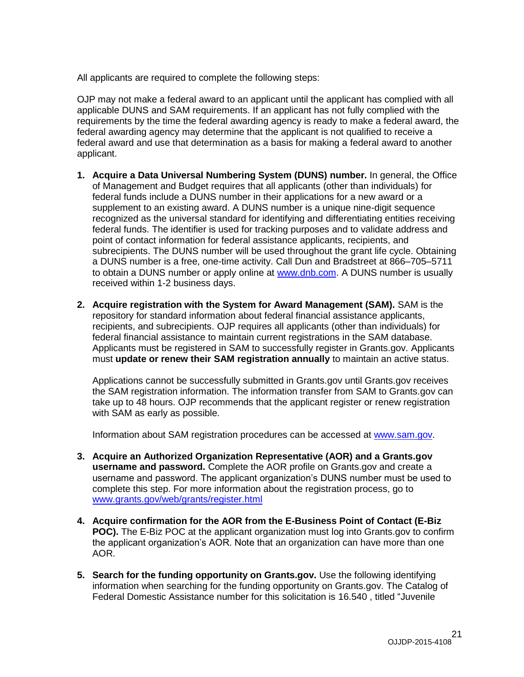All applicants are required to complete the following steps:

OJP may not make a federal award to an applicant until the applicant has complied with all applicable DUNS and SAM requirements. If an applicant has not fully complied with the requirements by the time the federal awarding agency is ready to make a federal award, the federal awarding agency may determine that the applicant is not qualified to receive a federal award and use that determination as a basis for making a federal award to another applicant.

- **1. Acquire a Data Universal Numbering System (DUNS) number.** In general, the Office of Management and Budget requires that all applicants (other than individuals) for federal funds include a DUNS number in their applications for a new award or a supplement to an existing award. A DUNS number is a unique nine-digit sequence recognized as the universal standard for identifying and differentiating entities receiving federal funds. The identifier is used for tracking purposes and to validate address and point of contact information for federal assistance applicants, recipients, and subrecipients. The DUNS number will be used throughout the grant life cycle. Obtaining a DUNS number is a free, one-time activity. Call Dun and Bradstreet at 866–705–5711 to obtain a DUNS number or apply online at [www.dnb.com.](http://www.dnb.com/) A DUNS number is usually received within 1-2 business days.
- **2. Acquire registration with the System for Award Management (SAM).** SAM is the repository for standard information about federal financial assistance applicants, recipients, and subrecipients. OJP requires all applicants (other than individuals) for federal financial assistance to maintain current registrations in the SAM database. Applicants must be registered in SAM to successfully register in Grants.gov. Applicants must **update or renew their SAM registration annually** to maintain an active status.

Applications cannot be successfully submitted in Grants.gov until Grants.gov receives the SAM registration information. The information transfer from SAM to Grants.gov can take up to 48 hours. OJP recommends that the applicant register or renew registration with SAM as early as possible.

Information about SAM registration procedures can be accessed at [www.sam.gov.](https://www.sam.gov/portal/public/SAM/?portal:componentId=1f834b82-3fed-4eb3-a1f8-ea1f226a7955&portal:type=action&interactionstate=JBPNS_rO0ABXc0ABBfanNmQnJpZGdlVmlld0lkAAAAAQATL2pzZi9uYXZpZ2F0aW9uLmpzcAAHX19FT0ZfXw**)

- **3. Acquire an Authorized Organization Representative (AOR) and a Grants.gov username and password.** Complete the AOR profile on Grants.gov and create a username and password. The applicant organization's DUNS number must be used to complete this step. For more information about the registration process, go to [www.grants.gov/web/grants/register.html](http://www.grants.gov/web/grants/register.html)
- **4. Acquire confirmation for the AOR from the E-Business Point of Contact (E-Biz POC).** The E-Biz POC at the applicant organization must log into Grants.gov to confirm the applicant organization's AOR. Note that an organization can have more than one AOR.
- **5. Search for the funding opportunity on Grants.gov.** Use the following identifying information when searching for the funding opportunity on Grants.gov. The Catalog of Federal Domestic Assistance number for this solicitation is 16.540 , titled "Juvenile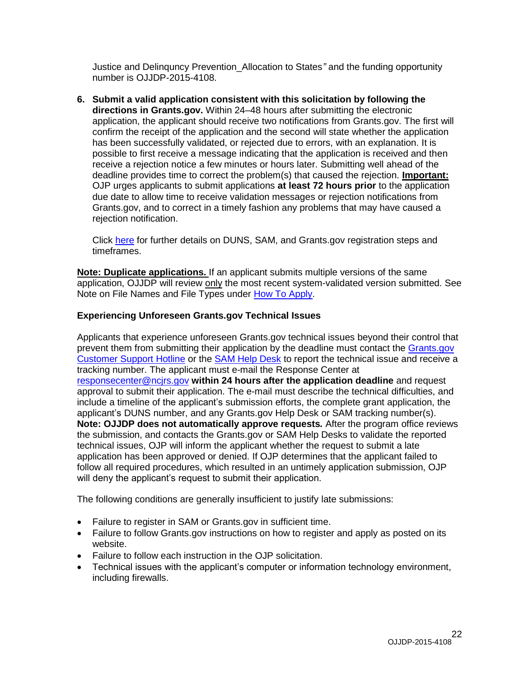Justice and Delinquncy Prevention\_Allocation to States*"* and the funding opportunity number is OJJDP-2015-4108.

**6. Submit a valid application consistent with this solicitation by following the directions in Grants.gov.** Within 24–48 hours after submitting the electronic application, the applicant should receive two notifications from Grants.gov. The first will confirm the receipt of the application and the second will state whether the application has been successfully validated, or rejected due to errors, with an explanation. It is possible to first receive a message indicating that the application is received and then receive a rejection notice a few minutes or hours later. Submitting well ahead of the deadline provides time to correct the problem(s) that caused the rejection. **Important:** OJP urges applicants to submit applications **at least 72 hours prior** to the application due date to allow time to receive validation messages or rejection notifications from Grants.gov, and to correct in a timely fashion any problems that may have caused a rejection notification.

Click [here](http://www.grants.gov/web/grants/applicants/organization-registration.html) for further details on DUNS, SAM, and Grants.gov registration steps and timeframes.

**Note: Duplicate applications.** If an applicant submits multiple versions of the same application, OJJDP will review only the most recent system-validated version submitted. See Note on File Names and File Types under [How To Apply.](#page-19-0)

### **Experiencing Unforeseen Grants.gov Technical Issues**

Applicants that experience unforeseen Grants.gov technical issues beyond their control that prevent them from submitting their application by the deadline must contact the Grants.gov [Customer Support Hotline](mailto:support@grants.gov) or the [SAM Help Desk](http://www.fsd.gov/) to report the technical issue and receive a tracking number. The applicant must e-mail the Response Center at [responsecenter@ncjrs.gov](mailto:responsecenter@ncjrs.gov) **within 24 hours after the application deadline** and request approval to submit their application. The e-mail must describe the technical difficulties, and include a timeline of the applicant's submission efforts, the complete grant application, the applicant's DUNS number, and any Grants.gov Help Desk or SAM tracking number(s). **Note: OJJDP does not automatically approve requests***.* After the program office reviews the submission, and contacts the Grants.gov or SAM Help Desks to validate the reported technical issues, OJP will inform the applicant whether the request to submit a late application has been approved or denied. If OJP determines that the applicant failed to follow all required procedures, which resulted in an untimely application submission, OJP will deny the applicant's request to submit their application.

The following conditions are generally insufficient to justify late submissions:

- Failure to register in SAM or Grants.gov in sufficient time.
- Failure to follow Grants.gov instructions on how to register and apply as posted on its website.
- Failure to follow each instruction in the OJP solicitation.
- Technical issues with the applicant's computer or information technology environment, including firewalls.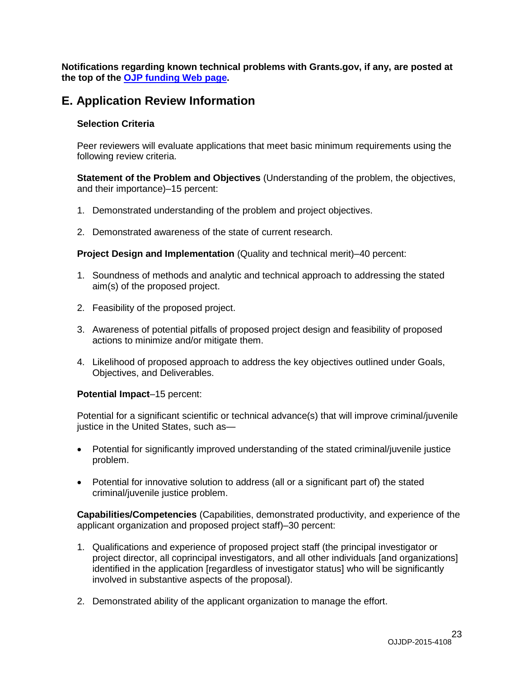**Notifications regarding known technical problems with Grants.gov, if any, are posted at the top of the [OJP funding Web page.](http://www.ojp.gov/funding/Explore/CurrentFundingOpportunities.htm)** 

# <span id="page-22-0"></span>**E. Application Review Information**

## <span id="page-22-1"></span>**Selection Criteria**

Peer reviewers will evaluate applications that meet basic minimum requirements using the following review criteria.

**Statement of the Problem and Objectives** (Understanding of the problem, the objectives, and their importance)–15 percent:

- 1. Demonstrated understanding of the problem and project objectives.
- 2. Demonstrated awareness of the state of current research.

**Project Design and Implementation** (Quality and technical merit)–40 percent:

- 1. Soundness of methods and analytic and technical approach to addressing the stated aim(s) of the proposed project.
- 2. Feasibility of the proposed project.
- 3. Awareness of potential pitfalls of proposed project design and feasibility of proposed actions to minimize and/or mitigate them.
- 4. Likelihood of proposed approach to address the key objectives outlined under Goals, Objectives, and Deliverables.

### **Potential Impact**–15 percent:

Potential for a significant scientific or technical advance(s) that will improve criminal/juvenile justice in the United States, such as—

- Potential for significantly improved understanding of the stated criminal/juvenile justice problem.
- Potential for innovative solution to address (all or a significant part of) the stated criminal/juvenile justice problem.

**Capabilities/Competencies** (Capabilities, demonstrated productivity, and experience of the applicant organization and proposed project staff)–30 percent:

- 1. Qualifications and experience of proposed project staff (the principal investigator or project director, all coprincipal investigators, and all other individuals [and organizations] identified in the application [regardless of investigator status] who will be significantly involved in substantive aspects of the proposal).
- 2. Demonstrated ability of the applicant organization to manage the effort.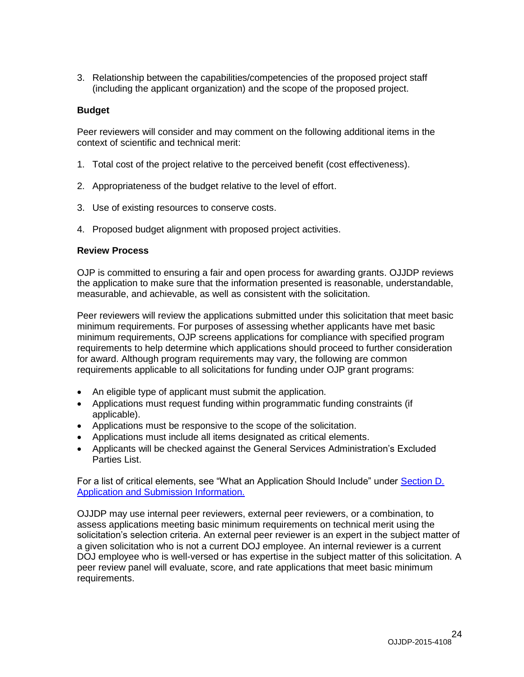3. Relationship between the capabilities/competencies of the proposed project staff (including the applicant organization) and the scope of the proposed project.

### **Budget**

Peer reviewers will consider and may comment on the following additional items in the context of scientific and technical merit:

- 1. Total cost of the project relative to the perceived benefit (cost effectiveness).
- 2. Appropriateness of the budget relative to the level of effort.
- 3. Use of existing resources to conserve costs.
- 4. Proposed budget alignment with proposed project activities.

## <span id="page-23-0"></span>**Review Process**

OJP is committed to ensuring a fair and open process for awarding grants. OJJDP reviews the application to make sure that the information presented is reasonable, understandable, measurable, and achievable, as well as consistent with the solicitation.

Peer reviewers will review the applications submitted under this solicitation that meet basic minimum requirements. For purposes of assessing whether applicants have met basic minimum requirements, OJP screens applications for compliance with specified program requirements to help determine which applications should proceed to further consideration for award. Although program requirements may vary, the following are common requirements applicable to all solicitations for funding under OJP grant programs:

- An eligible type of applicant must submit the application.
- Applications must request funding within programmatic funding constraints (if applicable).
- Applications must be responsive to the scope of the solicitation.
- Applications must include all items designated as critical elements.
- Applicants will be checked against the General Services Administration's Excluded Parties List.

For a list of critical elements, see "What an Application Should Include" under [Section D.](#page-9-1)  [Application and Submission Information.](#page-9-1)

OJJDP may use internal peer reviewers, external peer reviewers, or a combination, to assess applications meeting basic minimum requirements on technical merit using the solicitation's selection criteria. An external peer reviewer is an expert in the subject matter of a given solicitation who is not a current DOJ employee. An internal reviewer is a current DOJ employee who is well-versed or has expertise in the subject matter of this solicitation. A peer review panel will evaluate, score, and rate applications that meet basic minimum requirements.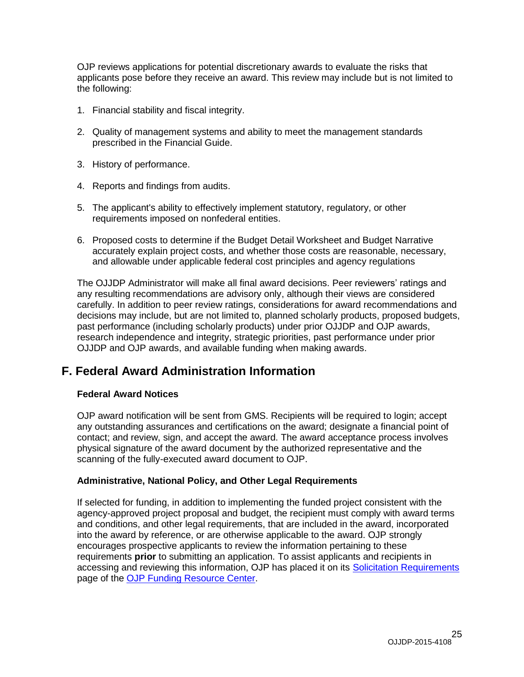OJP reviews applications for potential discretionary awards to evaluate the risks that applicants pose before they receive an award. This review may include but is not limited to the following:

- 1. Financial stability and fiscal integrity.
- 2. Quality of management systems and ability to meet the management standards prescribed in the Financial Guide.
- 3. History of performance.
- 4. Reports and findings from audits.
- 5. The applicant's ability to effectively implement statutory, regulatory, or other requirements imposed on nonfederal entities.
- 6. Proposed costs to determine if the Budget Detail Worksheet and Budget Narrative accurately explain project costs, and whether those costs are reasonable, necessary, and allowable under applicable federal cost principles and agency regulations

The OJJDP Administrator will make all final award decisions. Peer reviewers' ratings and any resulting recommendations are advisory only, although their views are considered carefully. In addition to peer review ratings, considerations for award recommendations and decisions may include, but are not limited to, planned scholarly products, proposed budgets, past performance (including scholarly products) under prior OJJDP and OJP awards, research independence and integrity, strategic priorities, past performance under prior OJJDP and OJP awards, and available funding when making awards.

# <span id="page-24-0"></span>**F. Federal Award Administration Information**

### <span id="page-24-1"></span>**Federal Award Notices**

OJP award notification will be sent from GMS. Recipients will be required to login; accept any outstanding assurances and certifications on the award; designate a financial point of contact; and review, sign, and accept the award. The award acceptance process involves physical signature of the award document by the authorized representative and the scanning of the fully-executed award document to OJP.

#### <span id="page-24-2"></span>**Administrative, National Policy, and Other Legal Requirements**

If selected for funding, in addition to implementing the funded project consistent with the agency-approved project proposal and budget, the recipient must comply with award terms and conditions, and other legal requirements, that are included in the award, incorporated into the award by reference, or are otherwise applicable to the award. OJP strongly encourages prospective applicants to review the information pertaining to these requirements **prior** to submitting an application. To assist applicants and recipients in accessing and reviewing this information, OJP has placed it on its [Solicitation Requirements](http://ojp.gov/funding/Explore/SolicitationRequirements/index.htm) page of the [OJP Funding Resource Center.](http://ojp.gov/funding/index.htm)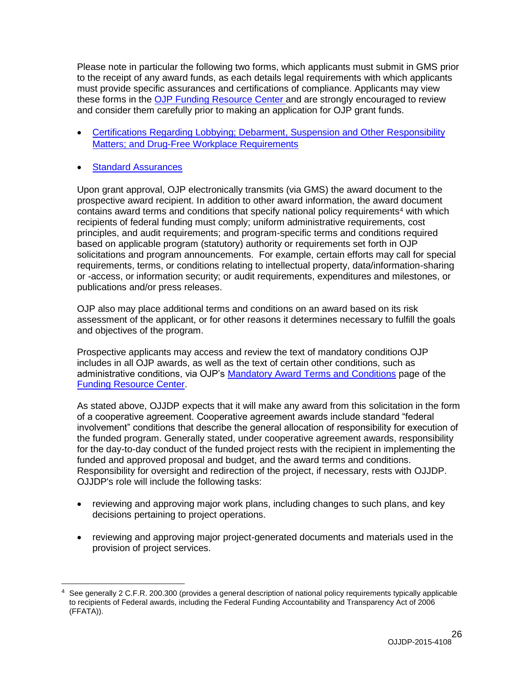Please note in particular the following two forms, which applicants must submit in GMS prior to the receipt of any award funds, as each details legal requirements with which applicants must provide specific assurances and certifications of compliance. Applicants may view these forms in the [OJP Funding Resource Center](http://ojp.gov/funding/index.htm) and are strongly encouraged to review and consider them carefully prior to making an application for OJP grant funds.

- [Certifications Regarding Lobbying; Debarment, Suspension and Other Responsibility](http://ojp.gov/funding/Apply/Forms.htm)  [Matters; and Drug-Free Workplace Requirements](http://ojp.gov/funding/Apply/Forms.htm)
- [Standard Assurances](http://ojp.gov/funding/Apply/Forms.htm)

 $\overline{a}$ 

Upon grant approval, OJP electronically transmits (via GMS) the award document to the prospective award recipient. In addition to other award information, the award document contains award terms and conditions that specify national policy requirements<sup>4</sup> with which recipients of federal funding must comply; uniform administrative requirements, cost principles, and audit requirements; and program-specific terms and conditions required based on applicable program (statutory) authority or requirements set forth in OJP solicitations and program announcements. For example, certain efforts may call for special requirements, terms, or conditions relating to intellectual property, data/information-sharing or -access, or information security; or audit requirements, expenditures and milestones, or publications and/or press releases.

OJP also may place additional terms and conditions on an award based on its risk assessment of the applicant, or for other reasons it determines necessary to fulfill the goals and objectives of the program.

Prospective applicants may access and review the text of mandatory conditions OJP includes in all OJP awards, as well as the text of certain other conditions, such as administrative conditions, via OJP's [Mandatory Award Terms and Conditions](http://ojp.gov/funding/Explore/SolicitationRequirements/MandatoryTermsConditions.htm) page of the [Funding Resource Center.](http://ojp.gov/funding/index.htm)

As stated above, OJJDP expects that it will make any award from this solicitation in the form of a cooperative agreement. Cooperative agreement awards include standard "federal involvement" conditions that describe the general allocation of responsibility for execution of the funded program. Generally stated, under cooperative agreement awards, responsibility for the day-to-day conduct of the funded project rests with the recipient in implementing the funded and approved proposal and budget, and the award terms and conditions. Responsibility for oversight and redirection of the project, if necessary, rests with OJJDP. OJJDP's role will include the following tasks:

- reviewing and approving major work plans, including changes to such plans, and key decisions pertaining to project operations.
- reviewing and approving major project-generated documents and materials used in the provision of project services.

See generally 2 C.F.R. 200.300 (provides a general description of national policy requirements typically applicable to recipients of Federal awards, including the Federal Funding Accountability and Transparency Act of 2006 (FFATA)).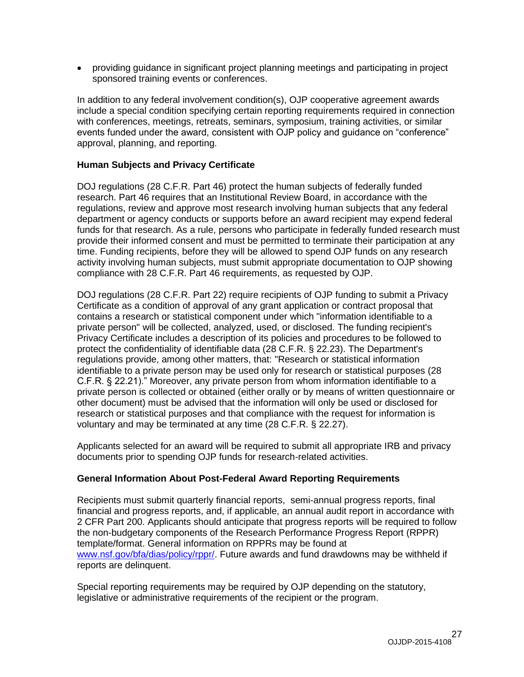providing guidance in significant project planning meetings and participating in project sponsored training events or conferences.

In addition to any federal involvement condition(s), OJP cooperative agreement awards include a special condition specifying certain reporting requirements required in connection with conferences, meetings, retreats, seminars, symposium, training activities, or similar events funded under the award, consistent with OJP policy and guidance on "conference" approval, planning, and reporting.

## <span id="page-26-0"></span>**Human Subjects and Privacy Certificate**

DOJ regulations (28 C.F.R. Part 46) protect the human subjects of federally funded research. Part 46 requires that an Institutional Review Board, in accordance with the regulations, review and approve most research involving human subjects that any federal department or agency conducts or supports before an award recipient may expend federal funds for that research. As a rule, persons who participate in federally funded research must provide their informed consent and must be permitted to terminate their participation at any time. Funding recipients, before they will be allowed to spend OJP funds on any research activity involving human subjects, must submit appropriate documentation to OJP showing compliance with 28 C.F.R. Part 46 requirements, as requested by OJP.

DOJ regulations (28 C.F.R. Part 22) require recipients of OJP funding to submit a Privacy Certificate as a condition of approval of any grant application or contract proposal that contains a research or statistical component under which "information identifiable to a private person" will be collected, analyzed, used, or disclosed. The funding recipient's Privacy Certificate includes a description of its policies and procedures to be followed to protect the confidentiality of identifiable data (28 C.F.R. § 22.23). The Department's regulations provide, among other matters, that: "Research or statistical information identifiable to a private person may be used only for research or statistical purposes (28 C.F.R. § 22.21)." Moreover, any private person from whom information identifiable to a private person is collected or obtained (either orally or by means of written questionnaire or other document) must be advised that the information will only be used or disclosed for research or statistical purposes and that compliance with the request for information is voluntary and may be terminated at any time (28 C.F.R. § 22.27).

Applicants selected for an award will be required to submit all appropriate IRB and privacy documents prior to spending OJP funds for research-related activities.

### **General Information About Post-Federal Award Reporting Requirements**

Recipients must submit quarterly financial reports, semi-annual progress reports, final financial and progress reports, and, if applicable, an annual audit report in accordance with 2 CFR Part 200. Applicants should anticipate that progress reports will be required to follow the non-budgetary components of the Research Performance Progress Report (RPPR) template/format. General information on RPPRs may be found at [www.nsf.gov/bfa/dias/policy/rppr/.](http://www.nsf.gov/bfa/dias/policy/rppr/) Future awards and fund drawdowns may be withheld if reports are delinquent.

Special reporting requirements may be required by OJP depending on the statutory, legislative or administrative requirements of the recipient or the program.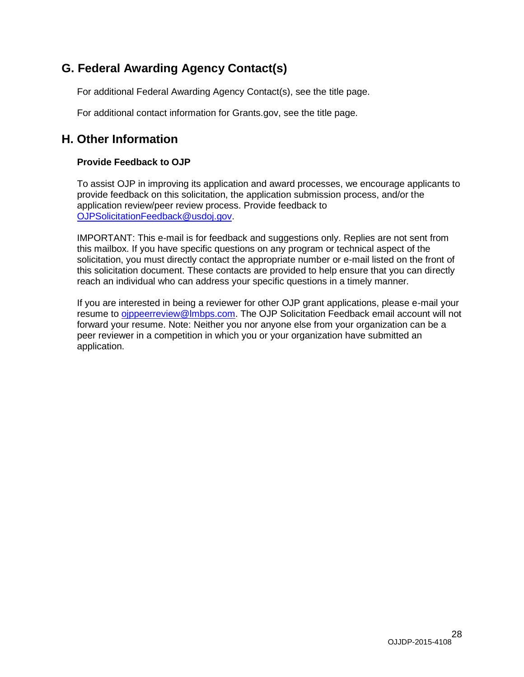# <span id="page-27-0"></span>**G. Federal Awarding Agency Contact(s)**

For additional Federal Awarding Agency Contact(s), see the title page.

<span id="page-27-1"></span>For additional contact information for Grants.gov, see the title page.

# **H. Other Information**

## <span id="page-27-2"></span>**Provide Feedback to OJP**

To assist OJP in improving its application and award processes, we encourage applicants to provide feedback on this solicitation, the application submission process, and/or the application review/peer review process. Provide feedback to [OJPSolicitationFeedback@usdoj.gov.](mailto:OJPSolicitationFeedback@usdoj.gov)

IMPORTANT: This e-mail is for feedback and suggestions only. Replies are not sent from this mailbox. If you have specific questions on any program or technical aspect of the solicitation, you must directly contact the appropriate number or e-mail listed on the front of this solicitation document. These contacts are provided to help ensure that you can directly reach an individual who can address your specific questions in a timely manner.

If you are interested in being a reviewer for other OJP grant applications, please e-mail your resume to [ojppeerreview@lmbps.com.](mailto:ojppeerreview@lmbps.com) The OJP Solicitation Feedback email account will not forward your resume. Note: Neither you nor anyone else from your organization can be a peer reviewer in a competition in which you or your organization have submitted an application.